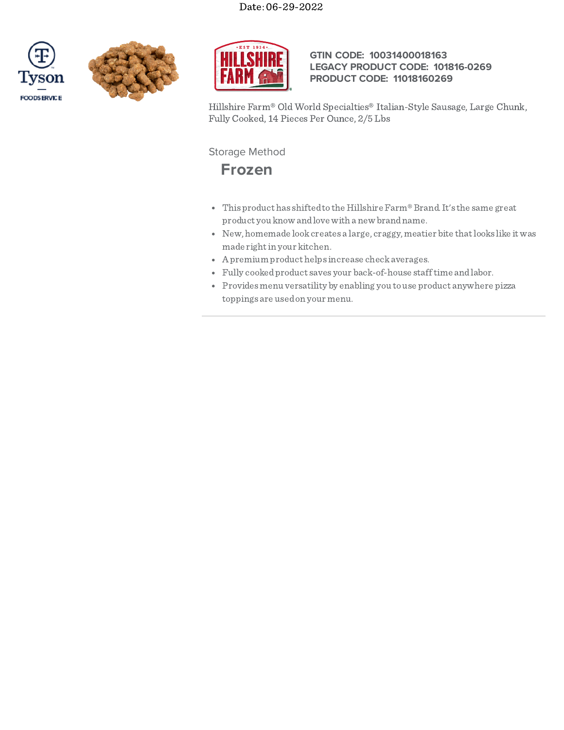





# **GTIN CODE: 10031400018163 LEGACY PRODUCT CODE: 101816-0269 PRODUCT CODE: 11018160269**

Hillshire Farm® Old World Specialties® Italian-Style Sausage, Large Chunk, Fully Cooked, 14 Pieces Per Ounce, 2/5 Lbs

# Storage Method

**Frozen**

- This product has shiftedto the Hillshire Farm®Brand.It's the same great product you know andlove with a new brandname.
- New, homemade lookcreates a large, craggy, meatier bite thatlooks like itwas made right in your kitchen.
- Apremium product helps increase checkaverages.
- Fully cookedproduct saves your back-of-house stafftime andlabor.
- Provides menu versatility by enabling you to use product anywhere pizza toppings are usedon your menu.